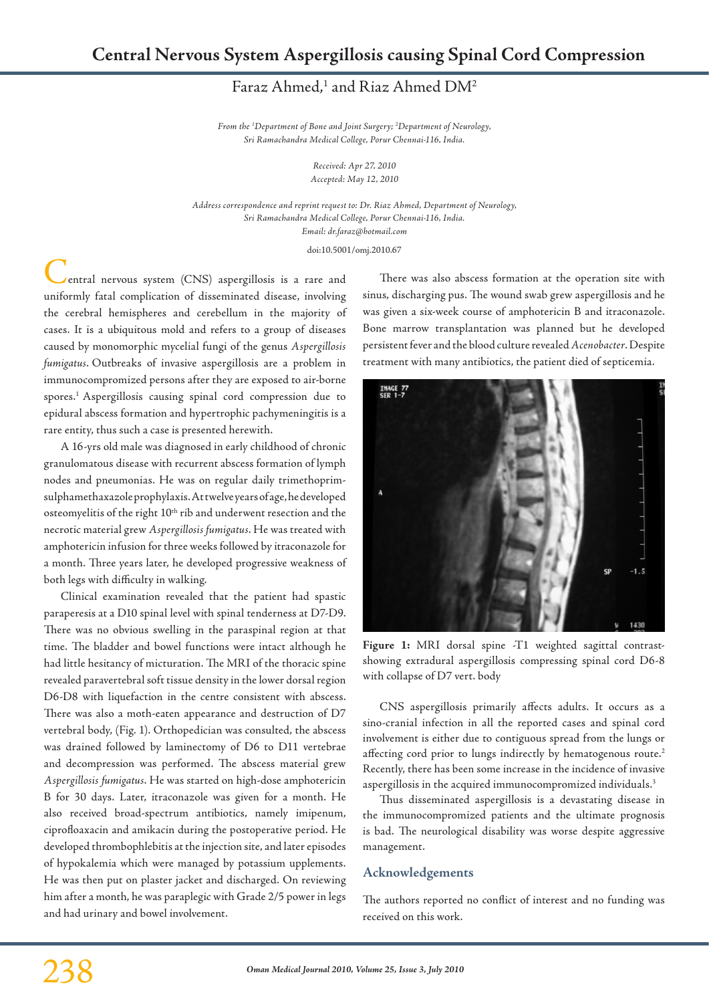## Faraz Ahmed,<sup>1</sup> and Riaz Ahmed DM<sup>2</sup>

*From the 1 Department of Bone and Joint Surgery; 2 Department of Neurology, Sri Ramachandra Medical College, Porur Chennai-116, India.*

> *Received: Apr 27, 2010 Accepted: May 12, 2010*

*Address correspondence and reprint request to: Dr. Riaz Ahmed, Department of Neurology, Sri Ramachandra Medical College, Porur Chennai-116, India. Email: dr.faraz@hotmail.com*

doi:10.5001/omj.2010.67

entral nervous system (CNS) aspergillosis is a rare and uniformly fatal complication of disseminated disease, involving the cerebral hemispheres and cerebellum in the majority of cases. It is a ubiquitous mold and refers to a group of diseases caused by monomorphic mycelial fungi of the genus *Aspergillosis fumigatus*. Outbreaks of invasive aspergillosis are a problem in immunocompromized persons after they are exposed to air-borne spores.1 Aspergillosis causing spinal cord compression due to epidural abscess formation and hypertrophic pachymeningitis is a rare entity, thus such a case is presented herewith.

A 16-yrs old male was diagnosed in early childhood of chronic granulomatous disease with recurrent abscess formation of lymph nodes and pneumonias. He was on regular daily trimethoprimsulphamethaxazole prophylaxis. At twelve years of age, he developed osteomyelitis of the right 10<sup>th</sup> rib and underwent resection and the necrotic material grew *Aspergillosis fumigatus*. He was treated with amphotericin infusion for three weeks followed by itraconazole for a month. Three years later, he developed progressive weakness of both legs with difficulty in walking.

Clinical examination revealed that the patient had spastic paraperesis at a D10 spinal level with spinal tenderness at D7-D9. There was no obvious swelling in the paraspinal region at that time. The bladder and bowel functions were intact although he had little hesitancy of micturation. The MRI of the thoracic spine revealed paravertebral soft tissue density in the lower dorsal region D6-D8 with liquefaction in the centre consistent with abscess. There was also a moth-eaten appearance and destruction of D7 vertebral body, (Fig. 1). Orthopedician was consulted, the abscess was drained followed by laminectomy of D6 to D11 vertebrae and decompression was performed. The abscess material grew *Aspergillosis fumigatus*. He was started on high-dose amphotericin B for 30 days. Later, itraconazole was given for a month. He also received broad-spectrum antibiotics, namely imipenum, ciprofloaxacin and amikacin during the postoperative period. He developed thrombophlebitis at the injection site, and later episodes of hypokalemia which were managed by potassium upplements. He was then put on plaster jacket and discharged. On reviewing him after a month, he was paraplegic with Grade 2/5 power in legs and had urinary and bowel involvement.

There was also abscess formation at the operation site with sinus, discharging pus. The wound swab grew aspergillosis and he was given a six-week course of amphotericin B and itraconazole. Bone marrow transplantation was planned but he developed persistent fever and the blood culture revealed *Acenobacter*. Despite treatment with many antibiotics, the patient died of septicemia.



**Figure 1:** MRI dorsal spine -T1 weighted sagittal contrastshowing extradural aspergillosis compressing spinal cord D6-8 with collapse of D7 vert. body

CNS aspergillosis primarily affects adults. It occurs as a sino-cranial infection in all the reported cases and spinal cord involvement is either due to contiguous spread from the lungs or affecting cord prior to lungs indirectly by hematogenous route.<sup>2</sup> Recently, there has been some increase in the incidence of invasive aspergillosis in the acquired immunocompromized individuals.<sup>3</sup>

Thus disseminated aspergillosis is a devastating disease in the immunocompromized patients and the ultimate prognosis is bad. The neurological disability was worse despite aggressive management.

## **Acknowledgements**

The authors reported no conflict of interest and no funding was received on this work.